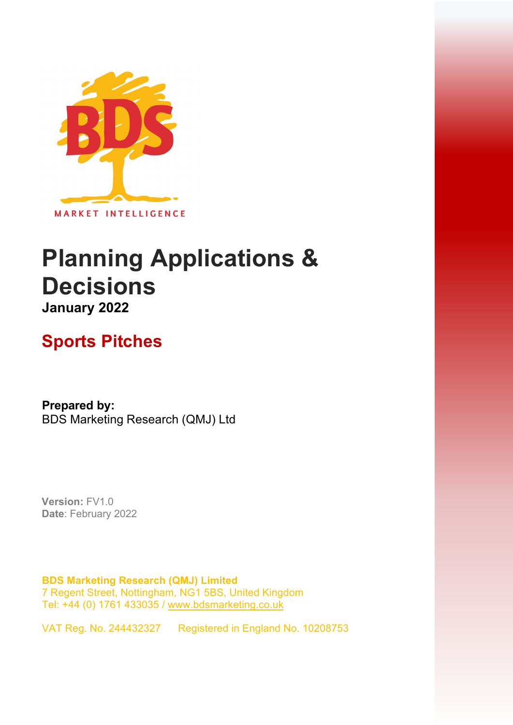

# **Planning Applications & Decisions January 2022**

## **Sports Pitches**

**Prepared by:**  BDS Marketing Research (QMJ) Ltd

**Version:** FV1.0 **Date**: February 2022

**BDS Marketing Research (QMJ) Limited**  7 Regent Street, Nottingham, NG1 5BS, United Kingdom Tel: +44 (0) 1761 433035 [/ www.bdsmarketing.co.uk](http://www.bdsmarketing.co.uk/)

VAT Reg. No. 244432327 Registered in England No. 10208753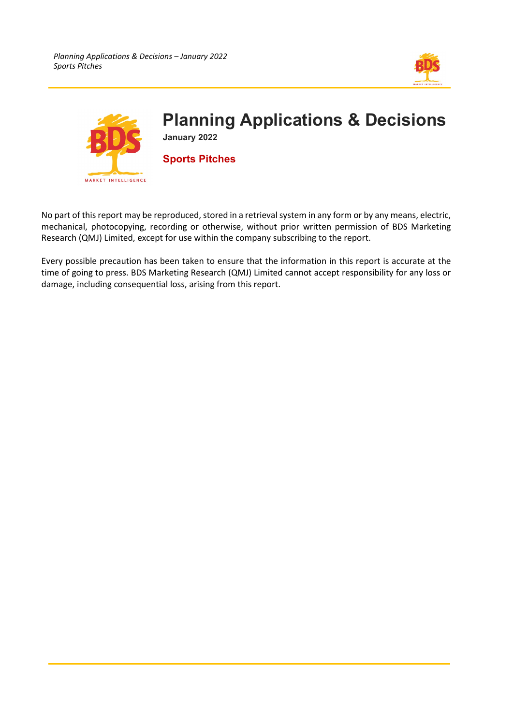



No part of this report may be reproduced, stored in a retrieval system in any form or by any means, electric, mechanical, photocopying, recording or otherwise, without prior written permission of BDS Marketing Research (QMJ) Limited, except for use within the company subscribing to the report.

Every possible precaution has been taken to ensure that the information in this report is accurate at the time of going to press. BDS Marketing Research (QMJ) Limited cannot accept responsibility for any loss or damage, including consequential loss, arising from this report.